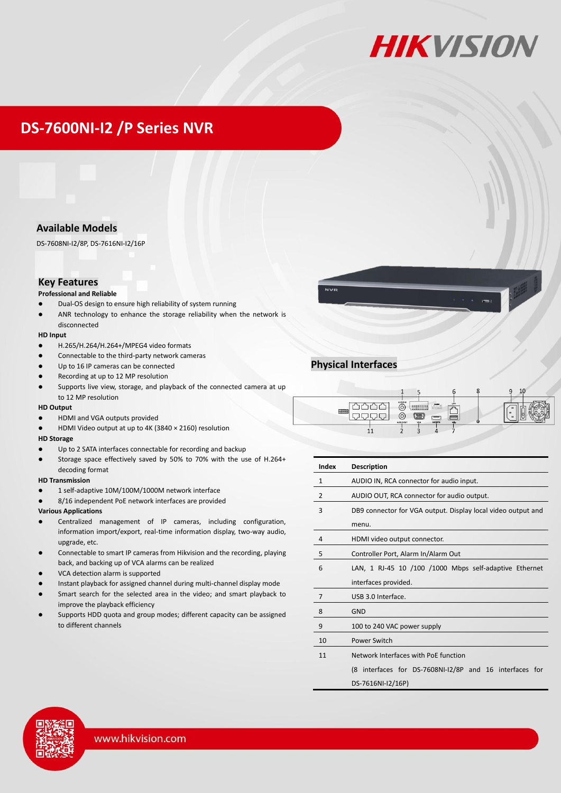

## **DS-7600NI-I2 /P Series NVR**

## **Available Models**

DS-7608NI-I2/8P, DS-7616NI-I2/16P

### **Key Features**

#### **Professional and Reliable**

- Dual-OS design to ensure high reliability of system running
- ANR technology to enhance the storage reliability when the network is disconnected

#### **HD Input**

- H.265/H.264/H.264+/MPEG4 video formats
- Connectable to the third-party network cameras
- Up to 16 IP cameras can be connected
- Recording at up to 12 MP resolution
- Supports live view, storage, and playback of the connected camera at up to 12 MP resolution

#### **HD Output**

- HDMI and VGA outputs provided
- HDMI Video output at up to 4K (3840 × 2160) resolution

#### **HD Storage**

- Up to 2 SATA interfaces connectable for recording and backup
- Storage space effectively saved by 50% to 70% with the use of H.264+ decoding format

#### **HD Transmission**

- 1 self-adaptive 10M/100M/1000M network interface
- 8/16 independent PoE network interfaces are provided

#### **Various Applications**

- Centralized management of IP cameras, including configuration, information import/export, real-time information display, two-way audio, upgrade, etc.
- Connectable to smart IP cameras from Hikvision and the recording, playing back, and backing up of VCA alarms can be realized
- VCA detection alarm is supported
- Instant playback for assigned channel during multi-channel display mode
- Smart search for the selected area in the video; and smart playback to improve the playback efficiency
- Supports HDD quota and group modes; different capacity can be assigned to different channels



## **Physical Interfaces**

| 310110 | AUDIO IN<br>00005<br>O<br>30000<br>Ö<br>AUDIO OUT<br><b>VGA</b> | LAN<br>िलंबनी<br>Ham | <b>C</b> |  |
|--------|-----------------------------------------------------------------|----------------------|----------|--|
|        |                                                                 |                      |          |  |

| Index          | <b>Description</b>                                           |  |  |  |
|----------------|--------------------------------------------------------------|--|--|--|
| $\mathbf{1}$   | AUDIO IN, RCA connector for audio input.                     |  |  |  |
| $\overline{2}$ | AUDIO OUT, RCA connector for audio output.                   |  |  |  |
| 3              | DB9 connector for VGA output. Display local video output and |  |  |  |
|                | menu.                                                        |  |  |  |
| $\overline{4}$ | HDMI video output connector.                                 |  |  |  |
| 5              | Controller Port, Alarm In/Alarm Out                          |  |  |  |
| 6              | LAN, 1 RJ-45 10 /100 /1000 Mbps self-adaptive Ethernet       |  |  |  |
|                | interfaces provided.                                         |  |  |  |
| 7              | USB 3.0 Interface.                                           |  |  |  |
| 8              | GND                                                          |  |  |  |
| 9              | 100 to 240 VAC power supply                                  |  |  |  |
| 10             | Power Switch                                                 |  |  |  |
| 11             | Network Interfaces with PoE function                         |  |  |  |
|                | (8 interfaces for DS-7608NI-I2/8P and 16 interfaces for      |  |  |  |
|                | DS-7616NI-I2/16P)                                            |  |  |  |

www.hikvision.com